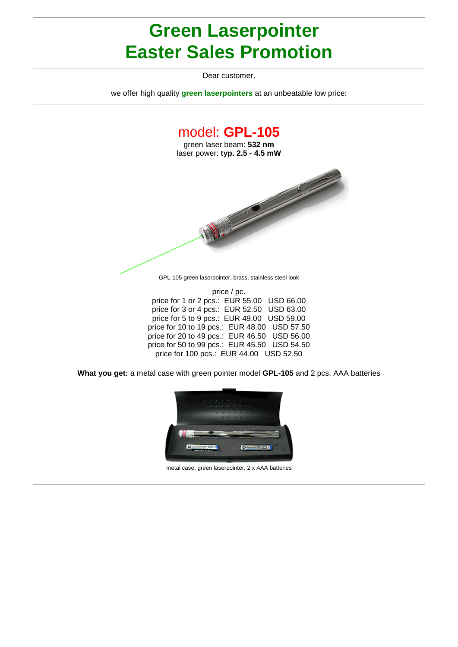## **Green Laserpointer Easter Sales Promotion**

Dear customer,

we offer high quality **green laserpointers** at an unbeatable low price:



**What you get:** a metal case with green pointer model **GPL-105** and 2 pcs. AAA batteries

price for 50 to 99 pcs.: EUR 45.50 USD 54.50 price for 100 pcs.: EUR 44.00 USD 52.50



metal case, green laserpointer, 2 x AAA batteries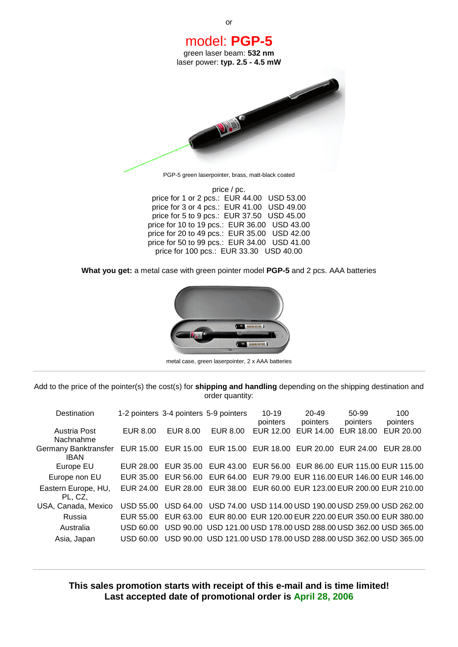

price for 10 to 19 pcs.: EUR 36.00 USD 43.00 price for 20 to 49 pcs.: EUR 35.00 USD 42.00 price for 50 to 99 pcs.: EUR 34.00 USD 41.00 price for 100 pcs.: EUR 33.30 USD 40.00

**What you get:** a metal case with green pointer model **PGP-5** and 2 pcs. AAA batteries



metal case, green laserpointer, 2 x AAA batteries

Add to the price of the pointer(s) the cost(s) for **shipping and handling** depending on the shipping destination and order quantity:

| Destination                         |           |                  | 1-2 pointers 3-4 pointers 5-9 pointers                           | $10 - 19$<br>pointers | $20 - 49$<br>pointers | 50-99<br>pointers                                     | 100<br>pointers |
|-------------------------------------|-----------|------------------|------------------------------------------------------------------|-----------------------|-----------------------|-------------------------------------------------------|-----------------|
| Austria Post<br>Nachnahme           | EUR 8.00  | EUR 8.00         | EUR 8.00                                                         | EUR 12.00             | EUR 14.00             | EUR 18.00                                             | EUR 20.00       |
| Germany Banktransfer<br><b>IBAN</b> | EUR 15.00 | EUR 15.00        | EUR 15.00                                                        | EUR 18.00             | EUR 20.00             | EUR 24.00                                             | EUR 28.00       |
| Europe EU                           | EUR 28.00 | EUR 35.00        | EUR 43.00                                                        |                       |                       | EUR 56.00 EUR 86.00 EUR 115.00 EUR 115.00             |                 |
| Europe non EU                       | EUR 35.00 | EUR 56.00        | EUR 64.00                                                        |                       |                       | EUR 79.00 EUR 116.00 EUR 146.00 EUR 146.00            |                 |
| Eastern Europe, HU,<br>PL, CZ,      | EUR 24.00 | EUR 28.00        | EUR 38.00                                                        |                       |                       | EUR 60.00 EUR 123.00 EUR 200.00 EUR 210.00            |                 |
| USA, Canada, Mexico                 | USD 55.00 | <b>USD 64.00</b> |                                                                  |                       |                       | USD 74.00 USD 114.00 USD 190.00 USD 259.00 USD 262.00 |                 |
| Russia                              | EUR 55.00 | EUR 63.00        |                                                                  |                       |                       | EUR 80.00 EUR 120.00 EUR 220.00 EUR 350.00 EUR 380.00 |                 |
| Australia                           | USD 60.00 |                  | USD 90.00 USD 121.00 USD 178.00 USD 288.00 USD 362.00 USD 365.00 |                       |                       |                                                       |                 |
| Asia, Japan                         | USD 60.00 |                  | USD 90.00 USD 121.00 USD 178.00 USD 288.00 USD 362.00 USD 365.00 |                       |                       |                                                       |                 |

**This sales promotion starts with receipt of this e-mail and is time limited! Last accepted date of promotional order is April 28, 2006**